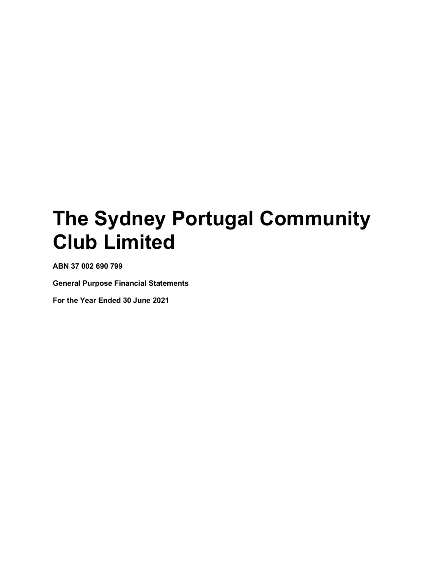ABN 37 002 690 799

General Purpose Financial Statements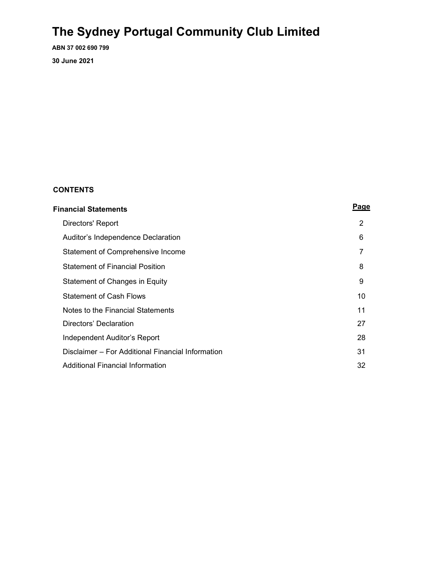ABN 37 002 690 799 30 June 2021

### CONTENTS

| <b>Financial Statements</b>                       |    |  |
|---------------------------------------------------|----|--|
| Directors' Report                                 | 2  |  |
| Auditor's Independence Declaration                | 6  |  |
| Statement of Comprehensive Income                 | 7  |  |
| <b>Statement of Financial Position</b>            | 8  |  |
| Statement of Changes in Equity                    | 9  |  |
| <b>Statement of Cash Flows</b>                    | 10 |  |
| Notes to the Financial Statements                 | 11 |  |
| Directors' Declaration                            | 27 |  |
| Independent Auditor's Report                      | 28 |  |
| Disclaimer – For Additional Financial Information | 31 |  |
| Additional Financial Information                  | 32 |  |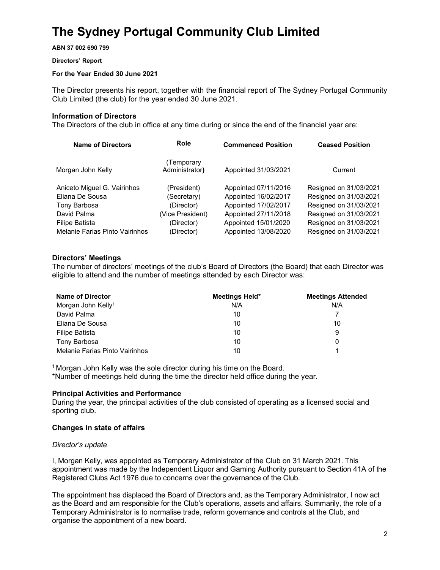ABN 37 002 690 799

#### Directors' Report

#### For the Year Ended 30 June 2021

The Director presents his report, together with the financial report of The Sydney Portugal Community Club Limited (the club) for the year ended 30 June 2021.

#### Information of Directors

The Directors of the club in office at any time during or since the end of the financial year are:

| <b>Name of Directors</b>       | Role                         | <b>Commenced Position</b> | <b>Ceased Position</b> |
|--------------------------------|------------------------------|---------------------------|------------------------|
| Morgan John Kelly              | (Temporary<br>Administrator) | Appointed 31/03/2021      | Current                |
| Aniceto Miguel G. Vairinhos    | (President)                  | Appointed 07/11/2016      | Resigned on 31/03/2021 |
| Eliana De Sousa                | (Secretary)                  | Appointed 16/02/2017      | Resigned on 31/03/2021 |
| Tony Barbosa                   | (Director)                   | Appointed 17/02/2017      | Resigned on 31/03/2021 |
| David Palma                    | (Vice President)             | Appointed 27/11/2018      | Resigned on 31/03/2021 |
| <b>Filipe Batista</b>          | (Director)                   | Appointed 15/01/2020      | Resigned on 31/03/2021 |
| Melanie Farias Pinto Vairinhos | (Director)                   | Appointed 13/08/2020      | Resigned on 31/03/2021 |

#### Directors' Meetings

The number of directors' meetings of the club's Board of Directors (the Board) that each Director was eligible to attend and the number of meetings attended by each Director was:

| Name of Director               | Meetings Held* | <b>Meetings Attended</b> |
|--------------------------------|----------------|--------------------------|
| Morgan John Kelly <sup>1</sup> | N/A            | N/A                      |
| David Palma                    | 10             |                          |
| Eliana De Sousa                | 10             | 10                       |
| Filipe Batista                 | 10             | 9                        |
| Tony Barbosa                   | 10             |                          |
| Melanie Farias Pinto Vairinhos | 10             |                          |

<sup>1</sup> Morgan John Kelly was the sole director during his time on the Board.

\*Number of meetings held during the time the director held office during the year.

#### Principal Activities and Performance

During the year, the principal activities of the club consisted of operating as a licensed social and sporting club.

#### Changes in state of affairs

#### Director's update

I, Morgan Kelly, was appointed as Temporary Administrator of the Club on 31 March 2021. This appointment was made by the Independent Liquor and Gaming Authority pursuant to Section 41A of the Registered Clubs Act 1976 due to concerns over the governance of the Club.

The appointment has displaced the Board of Directors and, as the Temporary Administrator, I now act as the Board and am responsible for the Club's operations, assets and affairs. Summarily, the role of a Temporary Administrator is to normalise trade, reform governance and controls at the Club, and organise the appointment of a new board.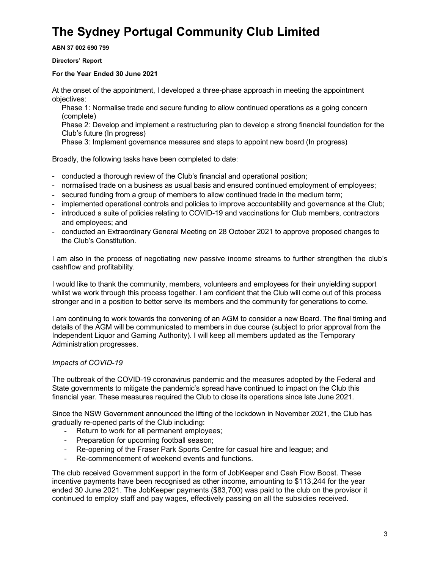ABN 37 002 690 799

Directors' Report

#### For the Year Ended 30 June 2021

At the onset of the appointment, I developed a three-phase approach in meeting the appointment objectives:

Phase 1: Normalise trade and secure funding to allow continued operations as a going concern (complete)

Phase 2: Develop and implement a restructuring plan to develop a strong financial foundation for the Club's future (In progress)

Phase 3: Implement governance measures and steps to appoint new board (In progress)

Broadly, the following tasks have been completed to date:

- conducted a thorough review of the Club's financial and operational position;
- normalised trade on a business as usual basis and ensured continued employment of employees;
- secured funding from a group of members to allow continued trade in the medium term;
- implemented operational controls and policies to improve accountability and governance at the Club;
- introduced a suite of policies relating to COVID-19 and vaccinations for Club members, contractors and employees; and
- conducted an Extraordinary General Meeting on 28 October 2021 to approve proposed changes to the Club's Constitution.

I am also in the process of negotiating new passive income streams to further strengthen the club's cashflow and profitability.

I would like to thank the community, members, volunteers and employees for their unyielding support whilst we work through this process together. I am confident that the Club will come out of this process stronger and in a position to better serve its members and the community for generations to come.

I am continuing to work towards the convening of an AGM to consider a new Board. The final timing and details of the AGM will be communicated to members in due course (subject to prior approval from the Independent Liquor and Gaming Authority). I will keep all members updated as the Temporary Administration progresses.

#### Impacts of COVID-19

The outbreak of the COVID-19 coronavirus pandemic and the measures adopted by the Federal and State governments to mitigate the pandemic's spread have continued to impact on the Club this financial year. These measures required the Club to close its operations since late June 2021.

Since the NSW Government announced the lifting of the lockdown in November 2021, the Club has gradually re-opened parts of the Club including:

- Return to work for all permanent employees;
- Preparation for upcoming football season;
- Re-opening of the Fraser Park Sports Centre for casual hire and league; and
- Re-commencement of weekend events and functions.

The club received Government support in the form of JobKeeper and Cash Flow Boost. These incentive payments have been recognised as other income, amounting to \$113,244 for the year ended 30 June 2021. The JobKeeper payments (\$83,700) was paid to the club on the provisor it continued to employ staff and pay wages, effectively passing on all the subsidies received.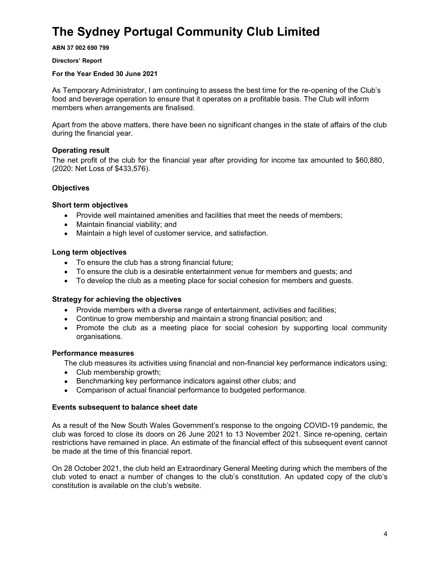ABN 37 002 690 799

#### Directors' Report

#### For the Year Ended 30 June 2021

As Temporary Administrator, I am continuing to assess the best time for the re-opening of the Club's food and beverage operation to ensure that it operates on a profitable basis. The Club will inform members when arrangements are finalised.

Apart from the above matters, there have been no significant changes in the state of affairs of the club during the financial year.

#### Operating result

The net profit of the club for the financial year after providing for income tax amounted to \$60,880, (2020: Net Loss of \$433,576).

#### **Objectives**

#### Short term objectives

- Provide well maintained amenities and facilities that meet the needs of members;
- Maintain financial viability; and
- Maintain a high level of customer service, and satisfaction.

#### Long term objectives

- To ensure the club has a strong financial future;
- To ensure the club is a desirable entertainment venue for members and guests; and
- To develop the club as a meeting place for social cohesion for members and guests.

#### Strategy for achieving the objectives

- Provide members with a diverse range of entertainment, activities and facilities;
- Continue to grow membership and maintain a strong financial position; and
- Promote the club as a meeting place for social cohesion by supporting local community organisations.

#### Performance measures

The club measures its activities using financial and non-financial key performance indicators using;

- Club membership growth;
- Benchmarking key performance indicators against other clubs; and
- Comparison of actual financial performance to budgeted performance.

#### Events subsequent to balance sheet date

As a result of the New South Wales Government's response to the ongoing COVID-19 pandemic, the club was forced to close its doors on 26 June 2021 to 13 November 2021. Since re-opening, certain restrictions have remained in place. An estimate of the financial effect of this subsequent event cannot be made at the time of this financial report.

On 28 October 2021, the club held an Extraordinary General Meeting during which the members of the club voted to enact a number of changes to the club's constitution. An updated copy of the club's constitution is available on the club's website.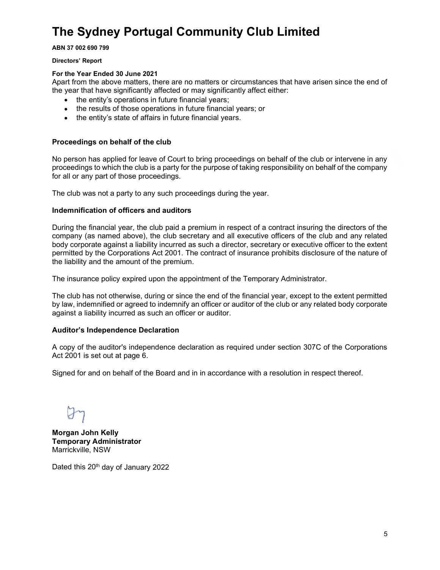ABN 37 002 690 799

Directors' Report

#### For the Year Ended 30 June 2021

Apart from the above matters, there are no matters or circumstances that have arisen since the end of the year that have significantly affected or may significantly affect either:

- the entity's operations in future financial years;
- the results of those operations in future financial years; or
- the entity's state of affairs in future financial years.

#### Proceedings on behalf of the club

No person has applied for leave of Court to bring proceedings on behalf of the club or intervene in any proceedings to which the club is a party for the purpose of taking responsibility on behalf of the company for all or any part of those proceedings.

The club was not a party to any such proceedings during the year.

#### Indemnification of officers and auditors

During the financial year, the club paid a premium in respect of a contract insuring the directors of the company (as named above), the club secretary and all executive officers of the club and any related body corporate against a liability incurred as such a director, secretary or executive officer to the extent permitted by the Corporations Act 2001. The contract of insurance prohibits disclosure of the nature of the liability and the amount of the premium.

The insurance policy expired upon the appointment of the Temporary Administrator.

The club has not otherwise, during or since the end of the financial year, except to the extent permitted by law, indemnified or agreed to indemnify an officer or auditor of the club or any related body corporate against a liability incurred as such an officer or auditor.

#### Auditor's Independence Declaration

A copy of the auditor's independence declaration as required under section 307C of the Corporations Act 2001 is set out at page 6.

Signed for and on behalf of the Board and in in accordance with a resolution in respect thereof.

Morgan John Kelly Temporary Administrator Marrickville, NSW

Dated this 20<sup>th</sup> day of January 2022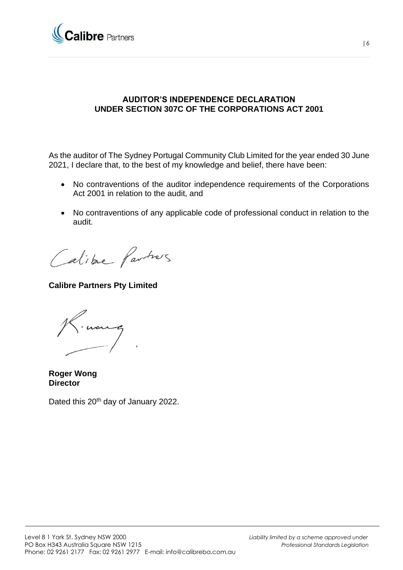

### **AUDITOR'S INDEPENDENCE DECLARATION UNDER SECTION 307C OF THE CORPORATIONS ACT 2001**

As the auditor of The Sydney Portugal Community Club Limited for the year ended 30 June 2021, I declare that, to the best of my knowledge and belief, there have been:

- No contraventions of the auditor independence requirements of the Corporations Act 2001 in relation to the audit, and
- No contraventions of any applicable code of professional conduct in relation to the audit.

Calibre Partners

**Calibre Partners Pty Limited**

noung

**Roger Wong Director**

Dated this 20<sup>th</sup> day of January 2022.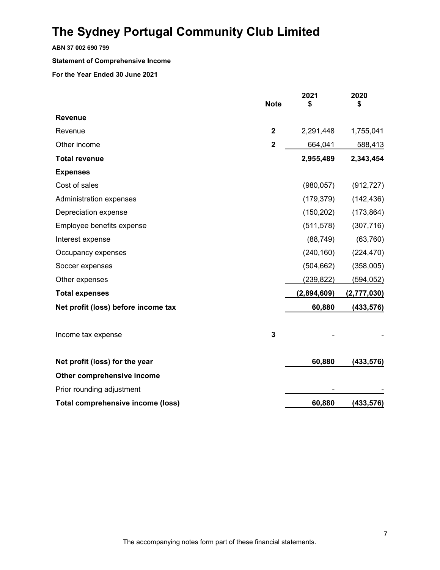ABN 37 002 690 799

#### Statement of Comprehensive Income

|                                     | <b>Note</b>             | 2021<br>\$  | 2020<br>\$  |
|-------------------------------------|-------------------------|-------------|-------------|
| <b>Revenue</b>                      |                         |             |             |
| Revenue                             | $\overline{2}$          | 2,291,448   | 1,755,041   |
| Other income                        | $\overline{2}$          | 664,041     | 588,413     |
| <b>Total revenue</b>                |                         | 2,955,489   | 2,343,454   |
| <b>Expenses</b>                     |                         |             |             |
| Cost of sales                       |                         | (980, 057)  | (912, 727)  |
| Administration expenses             |                         | (179, 379)  | (142, 436)  |
| Depreciation expense                |                         | (150, 202)  | (173, 864)  |
| Employee benefits expense           |                         | (511, 578)  | (307, 716)  |
| Interest expense                    |                         | (88, 749)   | (63, 760)   |
| Occupancy expenses                  |                         | (240, 160)  | (224, 470)  |
| Soccer expenses                     |                         | (504, 662)  | (358,005)   |
| Other expenses                      |                         | (239, 822)  | (594, 052)  |
| <b>Total expenses</b>               |                         | (2,894,609) | (2,777,030) |
| Net profit (loss) before income tax |                         | 60,880      | (433, 576)  |
| Income tax expense                  | $\overline{\mathbf{3}}$ |             |             |
| Net profit (loss) for the year      |                         | 60,880      | (433, 576)  |
| Other comprehensive income          |                         |             |             |
| Prior rounding adjustment           |                         |             |             |
| Total comprehensive income (loss)   |                         | 60,880      | (433, 576)  |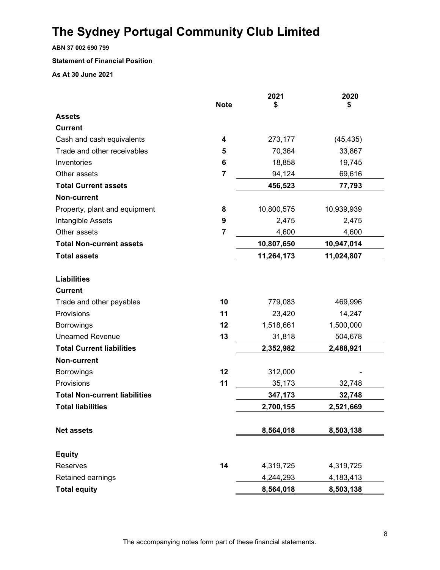ABN 37 002 690 799

#### Statement of Financial Position

As At 30 June 2021

|                                      | <b>Note</b>    | 2021<br>\$ | 2020<br>\$ |
|--------------------------------------|----------------|------------|------------|
| <b>Assets</b>                        |                |            |            |
| <b>Current</b>                       |                |            |            |
| Cash and cash equivalents            | 4              | 273,177    | (45, 435)  |
| Trade and other receivables          | 5              | 70,364     | 33,867     |
| Inventories                          | 6              | 18,858     | 19,745     |
| Other assets                         | 7              | 94,124     | 69,616     |
| <b>Total Current assets</b>          |                | 456,523    | 77,793     |
|                                      |                |            |            |
| <b>Non-current</b>                   |                |            |            |
| Property, plant and equipment        | 8              | 10,800,575 | 10,939,939 |
| Intangible Assets                    | 9              | 2,475      | 2,475      |
| Other assets                         | $\overline{7}$ | 4,600      | 4,600      |
| <b>Total Non-current assets</b>      |                | 10,807,650 | 10,947,014 |
| <b>Total assets</b>                  |                | 11,264,173 | 11,024,807 |
| <b>Liabilities</b>                   |                |            |            |
| <b>Current</b>                       |                |            |            |
| Trade and other payables             | 10             | 779,083    | 469,996    |
| Provisions                           | 11             | 23,420     | 14,247     |
| <b>Borrowings</b>                    | 12             | 1,518,661  | 1,500,000  |
| <b>Unearned Revenue</b>              | 13             | 31,818     | 504,678    |
| <b>Total Current liabilities</b>     |                | 2,352,982  | 2,488,921  |
| <b>Non-current</b>                   |                |            |            |
| <b>Borrowings</b>                    | 12             | 312,000    |            |
| Provisions                           | 11             | 35,173     | 32,748     |
| <b>Total Non-current liabilities</b> |                | 347,173    | 32,748     |
| <b>Total liabilities</b>             |                | 2,700,155  | 2,521,669  |
| <b>Net assets</b>                    |                | 8,564,018  | 8,503,138  |
|                                      |                |            |            |
| <b>Equity</b>                        |                |            |            |
| Reserves                             | 14             | 4,319,725  | 4,319,725  |
| Retained earnings                    |                | 4,244,293  | 4,183,413  |
| <b>Total equity</b>                  |                | 8,564,018  | 8,503,138  |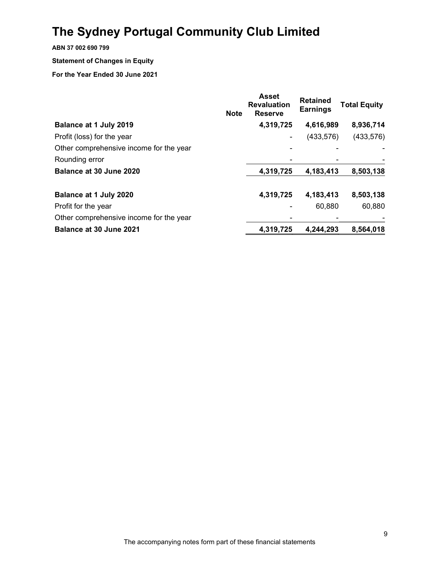ABN 37 002 690 799

#### Statement of Changes in Equity

|                                         | <b>Note</b> | <b>Asset</b><br><b>Revaluation</b><br><b>Reserve</b> | <b>Retained</b><br><b>Earnings</b> | <b>Total Equity</b> |
|-----------------------------------------|-------------|------------------------------------------------------|------------------------------------|---------------------|
| Balance at 1 July 2019                  |             | 4,319,725                                            | 4,616,989                          | 8,936,714           |
| Profit (loss) for the year              |             |                                                      | (433, 576)                         | (433, 576)          |
| Other comprehensive income for the year |             |                                                      |                                    |                     |
| Rounding error                          |             |                                                      |                                    |                     |
| Balance at 30 June 2020                 |             | 4,319,725                                            | 4,183,413                          | 8,503,138           |
| Balance at 1 July 2020                  |             | 4,319,725                                            | 4,183,413                          | 8,503,138           |
| Profit for the year                     |             |                                                      | 60,880                             | 60,880              |
| Other comprehensive income for the year |             |                                                      |                                    |                     |
| Balance at 30 June 2021                 |             | 4,319,725                                            | 4,244,293                          | 8,564,018           |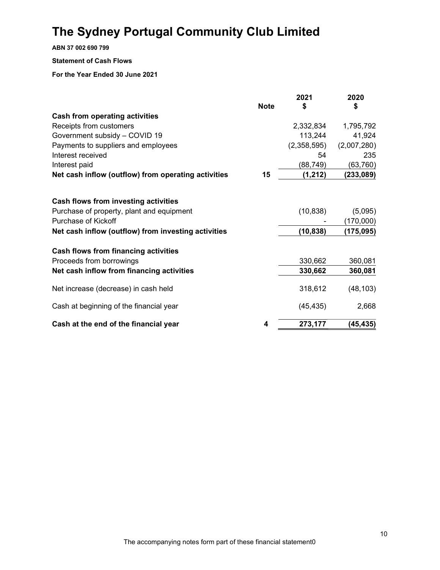ABN 37 002 690 799

#### Statement of Cash Flows

|                                                     |             | 2021        | 2020        |
|-----------------------------------------------------|-------------|-------------|-------------|
|                                                     | <b>Note</b> | \$          | \$          |
| <b>Cash from operating activities</b>               |             |             |             |
| Receipts from customers                             |             | 2,332,834   | 1,795,792   |
| Government subsidy - COVID 19                       |             | 113,244     | 41,924      |
| Payments to suppliers and employees                 |             | (2,358,595) | (2,007,280) |
| Interest received                                   |             | 54          | 235         |
| Interest paid                                       |             | (88, 749)   | (63,760)    |
| Net cash inflow (outflow) from operating activities | 15          | (1, 212)    | (233, 089)  |
|                                                     |             |             |             |
| Cash flows from investing activities                |             |             |             |
| Purchase of property, plant and equipment           |             | (10, 838)   | (5,095)     |
| <b>Purchase of Kickoff</b>                          |             |             | (170,000)   |
| Net cash inflow (outflow) from investing activities |             | (10, 838)   | (175, 095)  |
| Cash flows from financing activities                |             |             |             |
| Proceeds from borrowings                            |             | 330,662     | 360,081     |
| Net cash inflow from financing activities           |             | 330,662     | 360,081     |
| Net increase (decrease) in cash held                |             | 318,612     | (48, 103)   |
| Cash at beginning of the financial year             |             | (45, 435)   | 2,668       |
| Cash at the end of the financial year               | 4           | 273,177     | (45, 435)   |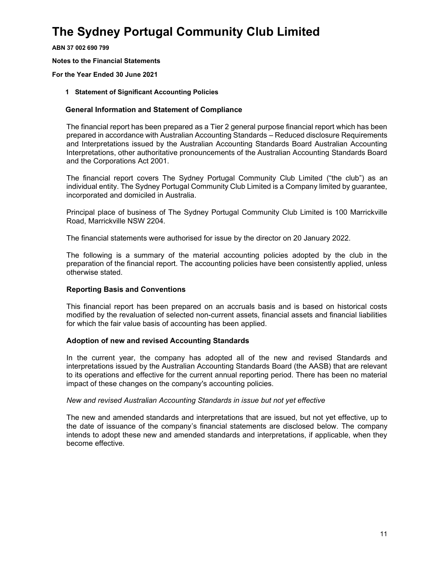ABN 37 002 690 799

Notes to the Financial Statements

For the Year Ended 30 June 2021

#### 1 Statement of Significant Accounting Policies

#### General Information and Statement of Compliance

The financial report has been prepared as a Tier 2 general purpose financial report which has been prepared in accordance with Australian Accounting Standards – Reduced disclosure Requirements and Interpretations issued by the Australian Accounting Standards Board Australian Accounting Interpretations, other authoritative pronouncements of the Australian Accounting Standards Board and the Corporations Act 2001.

The financial report covers The Sydney Portugal Community Club Limited ("the club") as an individual entity. The Sydney Portugal Community Club Limited is a Company limited by guarantee, incorporated and domiciled in Australia.

Principal place of business of The Sydney Portugal Community Club Limited is 100 Marrickville Road, Marrickville NSW 2204.

The financial statements were authorised for issue by the director on 20 January 2022.

The following is a summary of the material accounting policies adopted by the club in the preparation of the financial report. The accounting policies have been consistently applied, unless otherwise stated.

#### Reporting Basis and Conventions

This financial report has been prepared on an accruals basis and is based on historical costs modified by the revaluation of selected non-current assets, financial assets and financial liabilities for which the fair value basis of accounting has been applied.

#### Adoption of new and revised Accounting Standards

In the current year, the company has adopted all of the new and revised Standards and interpretations issued by the Australian Accounting Standards Board (the AASB) that are relevant to its operations and effective for the current annual reporting period. There has been no material impact of these changes on the company's accounting policies.

#### New and revised Australian Accounting Standards in issue but not yet effective

The new and amended standards and interpretations that are issued, but not yet effective, up to the date of issuance of the company's financial statements are disclosed below. The company intends to adopt these new and amended standards and interpretations, if applicable, when they become effective.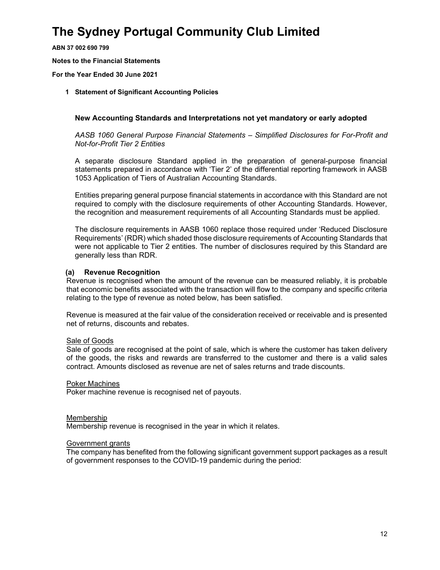ABN 37 002 690 799

Notes to the Financial Statements

For the Year Ended 30 June 2021

#### 1 Statement of Significant Accounting Policies

#### New Accounting Standards and Interpretations not yet mandatory or early adopted

AASB 1060 General Purpose Financial Statements – Simplified Disclosures for For-Profit and Not-for-Profit Tier 2 Entities

A separate disclosure Standard applied in the preparation of general-purpose financial statements prepared in accordance with 'Tier 2' of the differential reporting framework in AASB 1053 Application of Tiers of Australian Accounting Standards.

Entities preparing general purpose financial statements in accordance with this Standard are not required to comply with the disclosure requirements of other Accounting Standards. However, the recognition and measurement requirements of all Accounting Standards must be applied.

The disclosure requirements in AASB 1060 replace those required under 'Reduced Disclosure Requirements' (RDR) which shaded those disclosure requirements of Accounting Standards that were not applicable to Tier 2 entities. The number of disclosures required by this Standard are generally less than RDR.

#### (a) Revenue Recognition

Revenue is recognised when the amount of the revenue can be measured reliably, it is probable that economic benefits associated with the transaction will flow to the company and specific criteria relating to the type of revenue as noted below, has been satisfied.

Revenue is measured at the fair value of the consideration received or receivable and is presented net of returns, discounts and rebates.

#### Sale of Goods

Sale of goods are recognised at the point of sale, which is where the customer has taken delivery of the goods, the risks and rewards are transferred to the customer and there is a valid sales contract. Amounts disclosed as revenue are net of sales returns and trade discounts.

#### Poker Machines

Poker machine revenue is recognised net of payouts.

#### Membership

Membership revenue is recognised in the year in which it relates.

#### Government grants

The company has benefited from the following significant government support packages as a result of government responses to the COVID-19 pandemic during the period: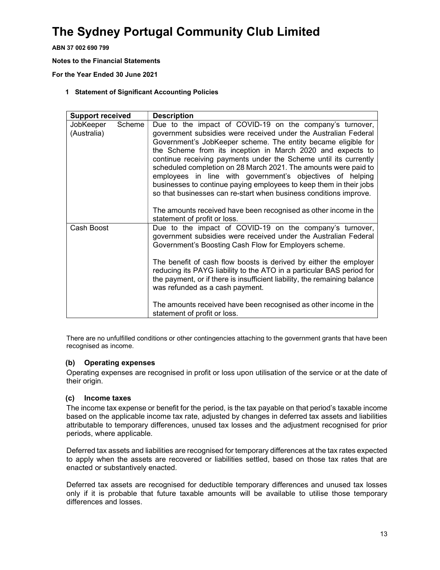ABN 37 002 690 799

Notes to the Financial Statements

For the Year Ended 30 June 2021

#### 1 Statement of Significant Accounting Policies

| <b>Support received</b>  |        | <b>Description</b>                                                                                                                                                                                                                                                                                                                                                                                                                                                                                                                                                                                                                                                                                            |
|--------------------------|--------|---------------------------------------------------------------------------------------------------------------------------------------------------------------------------------------------------------------------------------------------------------------------------------------------------------------------------------------------------------------------------------------------------------------------------------------------------------------------------------------------------------------------------------------------------------------------------------------------------------------------------------------------------------------------------------------------------------------|
| JobKeeper<br>(Australia) | Scheme | Due to the impact of COVID-19 on the company's turnover,<br>government subsidies were received under the Australian Federal<br>Government's JobKeeper scheme. The entity became eligible for<br>the Scheme from its inception in March 2020 and expects to<br>continue receiving payments under the Scheme until its currently<br>scheduled completion on 28 March 2021. The amounts were paid to<br>employees in line with government's objectives of helping<br>businesses to continue paying employees to keep them in their jobs<br>so that businesses can re-start when business conditions improve.<br>The amounts received have been recognised as other income in the<br>statement of profit or loss. |
| Cash Boost               |        | Due to the impact of COVID-19 on the company's turnover,<br>government subsidies were received under the Australian Federal<br>Government's Boosting Cash Flow for Employers scheme.<br>The benefit of cash flow boosts is derived by either the employer<br>reducing its PAYG liability to the ATO in a particular BAS period for<br>the payment, or if there is insufficient liability, the remaining balance<br>was refunded as a cash payment.<br>The amounts received have been recognised as other income in the<br>statement of profit or loss.                                                                                                                                                        |

There are no unfulfilled conditions or other contingencies attaching to the government grants that have been recognised as income.

#### (b) Operating expenses

Operating expenses are recognised in profit or loss upon utilisation of the service or at the date of their origin.

#### (c) Income taxes

The income tax expense or benefit for the period, is the tax payable on that period's taxable income based on the applicable income tax rate, adjusted by changes in deferred tax assets and liabilities attributable to temporary differences, unused tax losses and the adjustment recognised for prior periods, where applicable.

Deferred tax assets and liabilities are recognised for temporary differences at the tax rates expected to apply when the assets are recovered or liabilities settled, based on those tax rates that are enacted or substantively enacted.

Deferred tax assets are recognised for deductible temporary differences and unused tax losses only if it is probable that future taxable amounts will be available to utilise those temporary differences and losses.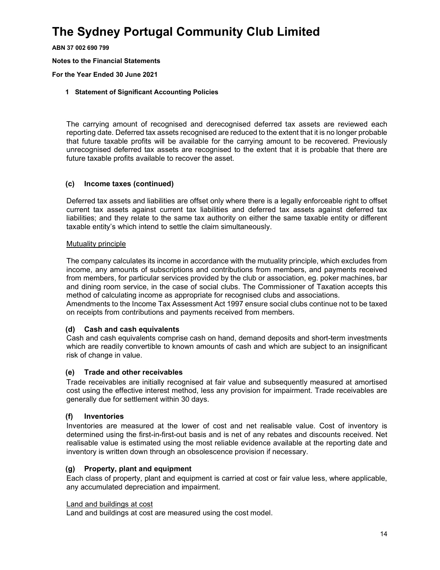ABN 37 002 690 799

Notes to the Financial Statements

For the Year Ended 30 June 2021

#### 1 Statement of Significant Accounting Policies

The carrying amount of recognised and derecognised deferred tax assets are reviewed each reporting date. Deferred tax assets recognised are reduced to the extent that it is no longer probable that future taxable profits will be available for the carrying amount to be recovered. Previously unrecognised deferred tax assets are recognised to the extent that it is probable that there are future taxable profits available to recover the asset.

#### (c) Income taxes (continued)

Deferred tax assets and liabilities are offset only where there is a legally enforceable right to offset current tax assets against current tax liabilities and deferred tax assets against deferred tax liabilities; and they relate to the same tax authority on either the same taxable entity or different taxable entity's which intend to settle the claim simultaneously.

#### Mutuality principle

The company calculates its income in accordance with the mutuality principle, which excludes from income, any amounts of subscriptions and contributions from members, and payments received from members, for particular services provided by the club or association, eg. poker machines, bar and dining room service, in the case of social clubs. The Commissioner of Taxation accepts this method of calculating income as appropriate for recognised clubs and associations.

Amendments to the Income Tax Assessment Act 1997 ensure social clubs continue not to be taxed on receipts from contributions and payments received from members.

#### (d) Cash and cash equivalents

Cash and cash equivalents comprise cash on hand, demand deposits and short-term investments which are readily convertible to known amounts of cash and which are subject to an insignificant risk of change in value.

#### (e) Trade and other receivables

Trade receivables are initially recognised at fair value and subsequently measured at amortised cost using the effective interest method, less any provision for impairment. Trade receivables are generally due for settlement within 30 days.

#### (f) Inventories

Inventories are measured at the lower of cost and net realisable value. Cost of inventory is determined using the first-in-first-out basis and is net of any rebates and discounts received. Net realisable value is estimated using the most reliable evidence available at the reporting date and inventory is written down through an obsolescence provision if necessary.

#### (g) Property, plant and equipment

Each class of property, plant and equipment is carried at cost or fair value less, where applicable, any accumulated depreciation and impairment.

#### Land and buildings at cost

Land and buildings at cost are measured using the cost model.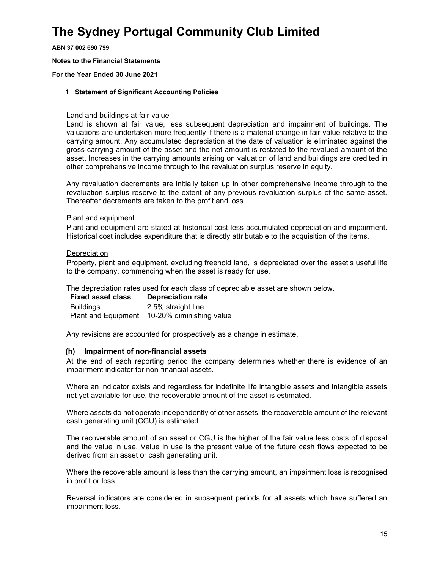ABN 37 002 690 799

Notes to the Financial Statements

For the Year Ended 30 June 2021

#### 1 Statement of Significant Accounting Policies

#### Land and buildings at fair value

Land is shown at fair value, less subsequent depreciation and impairment of buildings. The valuations are undertaken more frequently if there is a material change in fair value relative to the carrying amount. Any accumulated depreciation at the date of valuation is eliminated against the gross carrying amount of the asset and the net amount is restated to the revalued amount of the asset. Increases in the carrying amounts arising on valuation of land and buildings are credited in other comprehensive income through to the revaluation surplus reserve in equity.

Any revaluation decrements are initially taken up in other comprehensive income through to the revaluation surplus reserve to the extent of any previous revaluation surplus of the same asset. Thereafter decrements are taken to the profit and loss.

#### Plant and equipment

Plant and equipment are stated at historical cost less accumulated depreciation and impairment. Historical cost includes expenditure that is directly attributable to the acquisition of the items.

#### **Depreciation**

Property, plant and equipment, excluding freehold land, is depreciated over the asset's useful life to the company, commencing when the asset is ready for use.

The depreciation rates used for each class of depreciable asset are shown below.

| <b>Fixed asset class</b>   | <b>Depreciation rate</b> |
|----------------------------|--------------------------|
| <b>Buildings</b>           | 2.5% straight line       |
| <b>Plant and Equipment</b> | 10-20% diminishing value |

Any revisions are accounted for prospectively as a change in estimate.

#### (h) Impairment of non-financial assets

At the end of each reporting period the company determines whether there is evidence of an impairment indicator for non-financial assets.

Where an indicator exists and regardless for indefinite life intangible assets and intangible assets not yet available for use, the recoverable amount of the asset is estimated.

Where assets do not operate independently of other assets, the recoverable amount of the relevant cash generating unit (CGU) is estimated.

The recoverable amount of an asset or CGU is the higher of the fair value less costs of disposal and the value in use. Value in use is the present value of the future cash flows expected to be derived from an asset or cash generating unit.

Where the recoverable amount is less than the carrying amount, an impairment loss is recognised in profit or loss.

Reversal indicators are considered in subsequent periods for all assets which have suffered an impairment loss.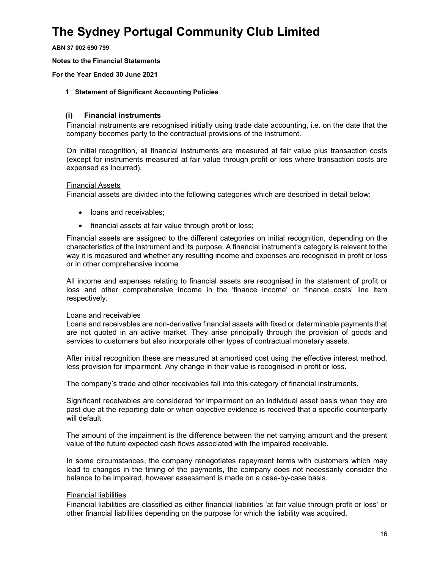ABN 37 002 690 799

Notes to the Financial Statements

For the Year Ended 30 June 2021

#### 1 Statement of Significant Accounting Policies

#### (i) Financial instruments

Financial instruments are recognised initially using trade date accounting, i.e. on the date that the company becomes party to the contractual provisions of the instrument.

On initial recognition, all financial instruments are measured at fair value plus transaction costs (except for instruments measured at fair value through profit or loss where transaction costs are expensed as incurred).

#### Financial Assets

Financial assets are divided into the following categories which are described in detail below:

- loans and receivables;
- financial assets at fair value through profit or loss;

Financial assets are assigned to the different categories on initial recognition, depending on the characteristics of the instrument and its purpose. A financial instrument's category is relevant to the way it is measured and whether any resulting income and expenses are recognised in profit or loss or in other comprehensive income.

All income and expenses relating to financial assets are recognised in the statement of profit or loss and other comprehensive income in the 'finance income' or 'finance costs' line item respectively.

#### Loans and receivables

Loans and receivables are non-derivative financial assets with fixed or determinable payments that are not quoted in an active market. They arise principally through the provision of goods and services to customers but also incorporate other types of contractual monetary assets.

After initial recognition these are measured at amortised cost using the effective interest method, less provision for impairment. Any change in their value is recognised in profit or loss.

The company's trade and other receivables fall into this category of financial instruments.

Significant receivables are considered for impairment on an individual asset basis when they are past due at the reporting date or when objective evidence is received that a specific counterparty will default.

The amount of the impairment is the difference between the net carrying amount and the present value of the future expected cash flows associated with the impaired receivable.

In some circumstances, the company renegotiates repayment terms with customers which may lead to changes in the timing of the payments, the company does not necessarily consider the balance to be impaired, however assessment is made on a case-by-case basis.

#### Financial liabilities

Financial liabilities are classified as either financial liabilities 'at fair value through profit or loss' or other financial liabilities depending on the purpose for which the liability was acquired.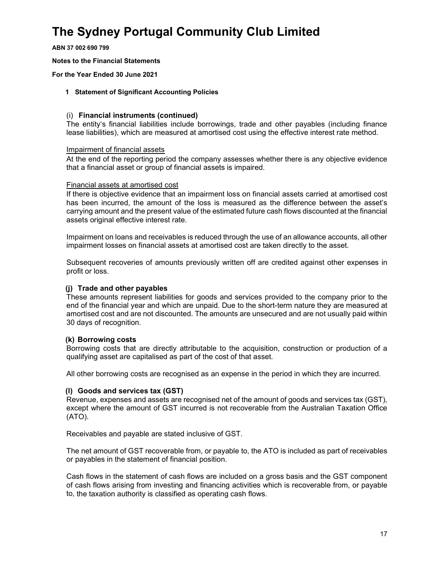ABN 37 002 690 799

Notes to the Financial Statements

For the Year Ended 30 June 2021

#### 1 Statement of Significant Accounting Policies

#### (i) Financial instruments (continued)

The entity's financial liabilities include borrowings, trade and other payables (including finance lease liabilities), which are measured at amortised cost using the effective interest rate method.

#### Impairment of financial assets

At the end of the reporting period the company assesses whether there is any objective evidence that a financial asset or group of financial assets is impaired.

#### Financial assets at amortised cost

If there is objective evidence that an impairment loss on financial assets carried at amortised cost has been incurred, the amount of the loss is measured as the difference between the asset's carrying amount and the present value of the estimated future cash flows discounted at the financial assets original effective interest rate.

Impairment on loans and receivables is reduced through the use of an allowance accounts, all other impairment losses on financial assets at amortised cost are taken directly to the asset.

Subsequent recoveries of amounts previously written off are credited against other expenses in profit or loss.

#### (j) Trade and other payables

These amounts represent liabilities for goods and services provided to the company prior to the end of the financial year and which are unpaid. Due to the short-term nature they are measured at amortised cost and are not discounted. The amounts are unsecured and are not usually paid within 30 days of recognition.

#### (k) Borrowing costs

Borrowing costs that are directly attributable to the acquisition, construction or production of a qualifying asset are capitalised as part of the cost of that asset.

All other borrowing costs are recognised as an expense in the period in which they are incurred.

#### (l) Goods and services tax (GST)

Revenue, expenses and assets are recognised net of the amount of goods and services tax (GST), except where the amount of GST incurred is not recoverable from the Australian Taxation Office (ATO).

Receivables and payable are stated inclusive of GST.

The net amount of GST recoverable from, or payable to, the ATO is included as part of receivables or payables in the statement of financial position.

Cash flows in the statement of cash flows are included on a gross basis and the GST component of cash flows arising from investing and financing activities which is recoverable from, or payable to, the taxation authority is classified as operating cash flows.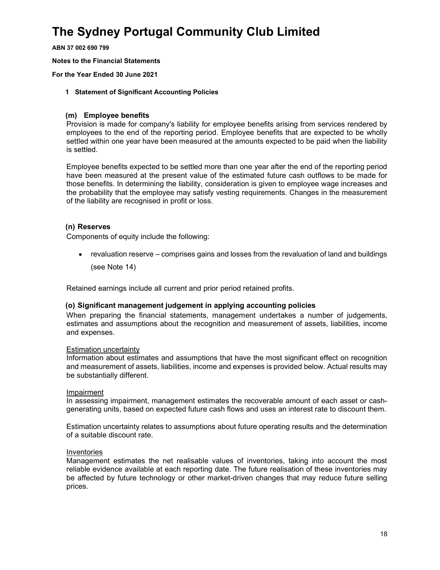ABN 37 002 690 799

Notes to the Financial Statements

For the Year Ended 30 June 2021

#### 1 Statement of Significant Accounting Policies

#### (m) Employee benefits

Provision is made for company's liability for employee benefits arising from services rendered by employees to the end of the reporting period. Employee benefits that are expected to be wholly settled within one year have been measured at the amounts expected to be paid when the liability is settled.

Employee benefits expected to be settled more than one year after the end of the reporting period have been measured at the present value of the estimated future cash outflows to be made for those benefits. In determining the liability, consideration is given to employee wage increases and the probability that the employee may satisfy vesting requirements. Changes in the measurement of the liability are recognised in profit or loss.

#### (n) Reserves

Components of equity include the following:

• revaluation reserve – comprises gains and losses from the revaluation of land and buildings (see Note 14)

Retained earnings include all current and prior period retained profits.

#### (o) Significant management judgement in applying accounting policies

When preparing the financial statements, management undertakes a number of judgements, estimates and assumptions about the recognition and measurement of assets, liabilities, income and expenses.

#### Estimation uncertainty

Information about estimates and assumptions that have the most significant effect on recognition and measurement of assets, liabilities, income and expenses is provided below. Actual results may be substantially different.

#### Impairment

In assessing impairment, management estimates the recoverable amount of each asset or cashgenerating units, based on expected future cash flows and uses an interest rate to discount them.

Estimation uncertainty relates to assumptions about future operating results and the determination of a suitable discount rate.

#### Inventories

Management estimates the net realisable values of inventories, taking into account the most reliable evidence available at each reporting date. The future realisation of these inventories may be affected by future technology or other market-driven changes that may reduce future selling prices.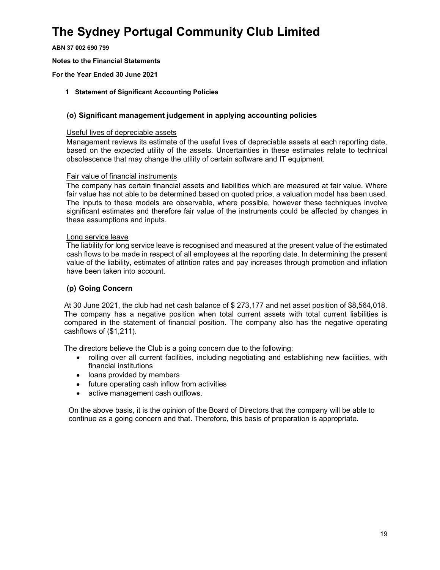ABN 37 002 690 799

Notes to the Financial Statements

For the Year Ended 30 June 2021

#### 1 Statement of Significant Accounting Policies

#### (o) Significant management judgement in applying accounting policies

#### Useful lives of depreciable assets

Management reviews its estimate of the useful lives of depreciable assets at each reporting date, based on the expected utility of the assets. Uncertainties in these estimates relate to technical obsolescence that may change the utility of certain software and IT equipment.

#### Fair value of financial instruments

The company has certain financial assets and liabilities which are measured at fair value. Where fair value has not able to be determined based on quoted price, a valuation model has been used. The inputs to these models are observable, where possible, however these techniques involve significant estimates and therefore fair value of the instruments could be affected by changes in these assumptions and inputs.

#### Long service leave

The liability for long service leave is recognised and measured at the present value of the estimated cash flows to be made in respect of all employees at the reporting date. In determining the present value of the liability, estimates of attrition rates and pay increases through promotion and inflation have been taken into account.

#### (p) Going Concern

At 30 June 2021, the club had net cash balance of \$ 273,177 and net asset position of \$8,564,018. The company has a negative position when total current assets with total current liabilities is compared in the statement of financial position. The company also has the negative operating cashflows of (\$1,211).

The directors believe the Club is a going concern due to the following:

- rolling over all current facilities, including negotiating and establishing new facilities, with financial institutions
- loans provided by members
- future operating cash inflow from activities
- active management cash outflows.

 On the above basis, it is the opinion of the Board of Directors that the company will be able to continue as a going concern and that. Therefore, this basis of preparation is appropriate.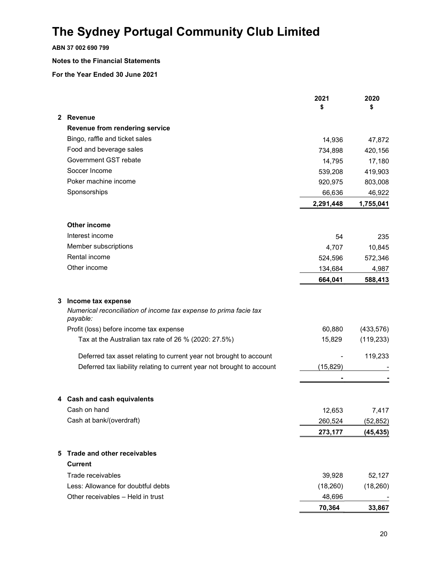ABN 37 002 690 799

#### Notes to the Financial Statements

|              |                                                                               | 2021<br>\$ | 2020<br>\$ |
|--------------|-------------------------------------------------------------------------------|------------|------------|
| $\mathbf{2}$ | Revenue                                                                       |            |            |
|              | Revenue from rendering service                                                |            |            |
|              | Bingo, raffle and ticket sales                                                | 14,936     | 47,872     |
|              | Food and beverage sales                                                       | 734,898    | 420,156    |
|              | Government GST rebate                                                         | 14,795     | 17,180     |
|              | Soccer Income                                                                 | 539,208    | 419,903    |
|              | Poker machine income                                                          | 920,975    | 803,008    |
|              | Sponsorships                                                                  | 66,636     | 46,922     |
|              |                                                                               | 2,291,448  | 1,755,041  |
|              | Other income                                                                  |            |            |
|              | Interest income                                                               | 54         | 235        |
|              | Member subscriptions                                                          | 4,707      | 10,845     |
|              | Rental income                                                                 | 524,596    | 572,346    |
|              | Other income                                                                  | 134,684    | 4,987      |
|              |                                                                               | 664,041    | 588,413    |
| 3.           | Income tax expense                                                            |            |            |
|              | Numerical reconciliation of income tax expense to prima facie tax<br>payable: |            |            |
|              | Profit (loss) before income tax expense                                       | 60,880     | (433, 576) |
|              | Tax at the Australian tax rate of 26 % (2020: 27.5%)                          | 15,829     | (119, 233) |
|              | Deferred tax asset relating to current year not brought to account            |            | 119,233    |
|              | Deferred tax liability relating to current year not brought to account        | (15, 829)  |            |
|              |                                                                               |            |            |
|              | 4 Cash and cash equivalents                                                   |            |            |
|              | Cash on hand                                                                  | 12,653     | 7,417      |
|              | Cash at bank/(overdraft)                                                      | 260,524    | (52, 852)  |
|              |                                                                               | 273,177    | (45, 435)  |
| 5            | Trade and other receivables                                                   |            |            |
|              | <b>Current</b>                                                                |            |            |
|              | Trade receivables                                                             | 39,928     | 52,127     |
|              | Less: Allowance for doubtful debts                                            | (18,260)   | (18, 260)  |
|              | Other receivables - Held in trust                                             | 48,696     |            |
|              |                                                                               | 70,364     | 33,867     |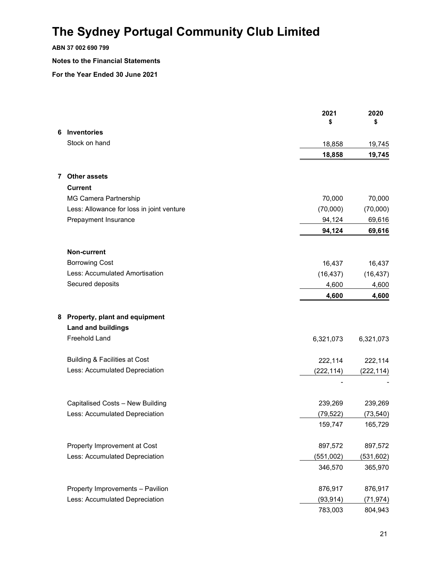### ABN 37 002 690 799

#### Notes to the Financial Statements

|   |                                                            | 2021<br>\$ | 2020<br>\$ |
|---|------------------------------------------------------------|------------|------------|
| 6 | Inventories                                                |            |            |
|   | Stock on hand                                              | 18,858     | 19,745     |
|   |                                                            | 18,858     | 19,745     |
|   | 7 Other assets                                             |            |            |
|   | <b>Current</b>                                             |            |            |
|   | <b>MG Camera Partnership</b>                               | 70,000     | 70,000     |
|   | Less: Allowance for loss in joint venture                  | (70,000)   | (70,000)   |
|   | Prepayment Insurance                                       | 94,124     | 69,616     |
|   |                                                            | 94,124     | 69,616     |
|   | Non-current                                                |            |            |
|   | <b>Borrowing Cost</b>                                      | 16,437     | 16,437     |
|   | Less: Accumulated Amortisation                             | (16, 437)  | (16, 437)  |
|   | Secured deposits                                           | 4,600      | 4,600      |
|   |                                                            | 4,600      | 4,600      |
| 8 | Property, plant and equipment<br><b>Land and buildings</b> |            |            |
|   | Freehold Land                                              | 6,321,073  | 6,321,073  |
|   | Building & Facilities at Cost                              | 222,114    | 222,114    |
|   | Less: Accumulated Depreciation                             | (222, 114) | (222, 114) |
|   |                                                            |            |            |
|   | Capitalised Costs - New Building                           | 239,269    | 239,269    |
|   | Less: Accumulated Depreciation                             | (79, 522)  | (73, 540)  |
|   |                                                            | 159,747    | 165,729    |
|   | Property Improvement at Cost                               | 897,572    | 897,572    |
|   | Less: Accumulated Depreciation                             | (551,002)  | (531, 602) |
|   |                                                            | 346,570    | 365,970    |
|   | Property Improvements - Pavilion                           | 876,917    | 876,917    |
|   | Less: Accumulated Depreciation                             | (93, 914)  | (71, 974)  |
|   |                                                            | 783,003    | 804,943    |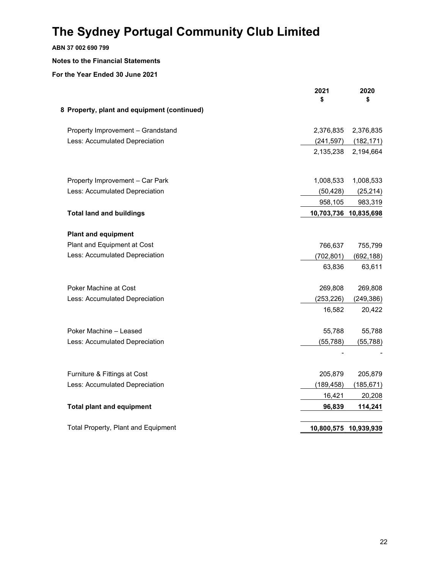### ABN 37 002 690 799

#### Notes to the Financial Statements

|                                             | 2021<br>\$ | 2020<br>\$            |
|---------------------------------------------|------------|-----------------------|
| 8 Property, plant and equipment (continued) |            |                       |
| Property Improvement - Grandstand           | 2,376,835  | 2,376,835             |
| Less: Accumulated Depreciation              | (241, 597) | (182, 171)            |
|                                             | 2,135,238  | 2,194,664             |
| Property Improvement - Car Park             | 1,008,533  | 1,008,533             |
| Less: Accumulated Depreciation              | (50, 428)  | (25, 214)             |
|                                             | 958,105    | 983,319               |
| <b>Total land and buildings</b>             |            | 10,703,736 10,835,698 |
| <b>Plant and equipment</b>                  |            |                       |
| Plant and Equipment at Cost                 | 766,637    | 755,799               |
| Less: Accumulated Depreciation              | (702, 801) | (692, 188)            |
|                                             | 63,836     | 63,611                |
| Poker Machine at Cost                       | 269,808    | 269,808               |
| Less: Accumulated Depreciation              | (253, 226) | (249, 386)            |
|                                             | 16,582     | 20,422                |
| Poker Machine - Leased                      | 55,788     | 55,788                |
| Less: Accumulated Depreciation              | (55, 788)  | (55, 788)             |
|                                             |            |                       |
| Furniture & Fittings at Cost                | 205,879    | 205,879               |
| Less: Accumulated Depreciation              | (189, 458) | (185, 671)            |
|                                             | 16,421     | 20,208                |
| <b>Total plant and equipment</b>            | 96,839     | 114,241               |
| <b>Total Property, Plant and Equipment</b>  |            | 10,800,575 10,939,939 |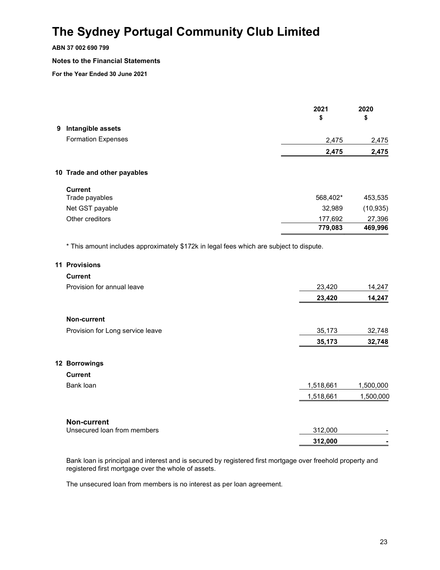#### ABN 37 002 690 799

#### Notes to the Financial Statements

For the Year Ended 30 June 2021

|                                                                                                          | 2021<br>\$         | 2020<br>\$        |
|----------------------------------------------------------------------------------------------------------|--------------------|-------------------|
| 9 Intangible assets                                                                                      |                    |                   |
| <b>Formation Expenses</b>                                                                                | 2,475              | 2,475             |
|                                                                                                          | 2,475              | 2,475             |
| 10 Trade and other payables                                                                              |                    |                   |
| <b>Current</b>                                                                                           |                    |                   |
| Trade payables                                                                                           | 568,402*           | 453,535           |
| Net GST payable                                                                                          | 32,989             | (10, 935)         |
| Other creditors                                                                                          | 177,692<br>779,083 | 27,396<br>469,996 |
| * This amount includes approximately \$172k in legal fees which are subject to dispute.<br>11 Provisions |                    |                   |
|                                                                                                          |                    |                   |
| <b>Current</b>                                                                                           |                    |                   |
| Provision for annual leave                                                                               | 23,420             | 14,247            |
|                                                                                                          | 23,420             | 14,247            |
| Non-current                                                                                              |                    |                   |
| Provision for Long service leave                                                                         | 35,173             | 32,748            |
|                                                                                                          | 35,173             | 32,748            |
| 12 Borrowings                                                                                            |                    |                   |
| <b>Current</b>                                                                                           |                    |                   |
| Bank loan                                                                                                | 1,518,661          | 1,500,000         |
|                                                                                                          | 1,518,661          | 1,500,000         |
| <b>Non-current</b>                                                                                       |                    |                   |
| Unsecured loan from members                                                                              | 312,000            |                   |
|                                                                                                          | 312,000            |                   |

Bank loan is principal and interest and is secured by registered first mortgage over freehold property and registered first mortgage over the whole of assets.

The unsecured loan from members is no interest as per loan agreement.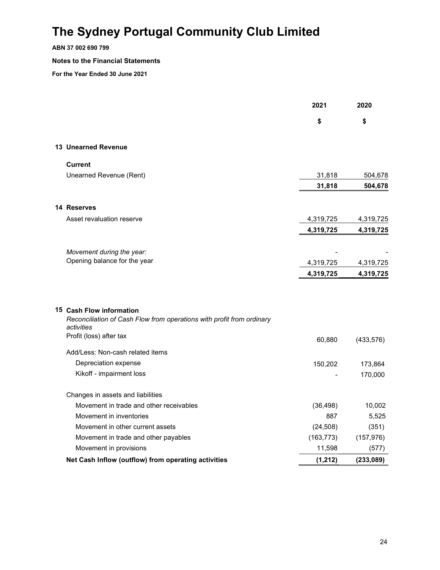#### ABN 37 002 690 799

#### Notes to the Financial Statements

|                                                                                                   | 2021       | 2020       |
|---------------------------------------------------------------------------------------------------|------------|------------|
|                                                                                                   | \$         | \$         |
| <b>13 Unearned Revenue</b>                                                                        |            |            |
| <b>Current</b>                                                                                    |            |            |
| Unearned Revenue (Rent)                                                                           | 31,818     | 504,678    |
|                                                                                                   | 31,818     | 504,678    |
| 14 Reserves                                                                                       |            |            |
| Asset revaluation reserve                                                                         | 4,319,725  | 4,319,725  |
|                                                                                                   | 4,319,725  | 4,319,725  |
| Movement during the year:                                                                         |            |            |
| Opening balance for the year                                                                      | 4,319,725  | 4,319,725  |
|                                                                                                   | 4,319,725  | 4,319,725  |
| 15 Cash Flow information<br>Reconciliation of Cash Flow from operations with profit from ordinary |            |            |
| activities<br>Profit (loss) after tax                                                             |            |            |
|                                                                                                   | 60,880     | (433, 576) |
| Add/Less: Non-cash related items                                                                  |            |            |
| Depreciation expense                                                                              | 150,202    | 173,864    |
| Kikoff - impairment loss                                                                          |            | 170,000    |
| Changes in assets and liabilities                                                                 |            |            |
| Movement in trade and other receivables                                                           | (36, 498)  | 10,002     |
| Movement in inventories                                                                           | 887        | 5,525      |
| Movement in other current assets                                                                  | (24, 508)  | (351)      |
| Movement in trade and other payables                                                              | (163, 773) | (157, 976) |
| Movement in provisions                                                                            | 11,598     | (577)      |
| Net Cash Inflow (outflow) from operating activities                                               | (1, 212)   | (233,089)  |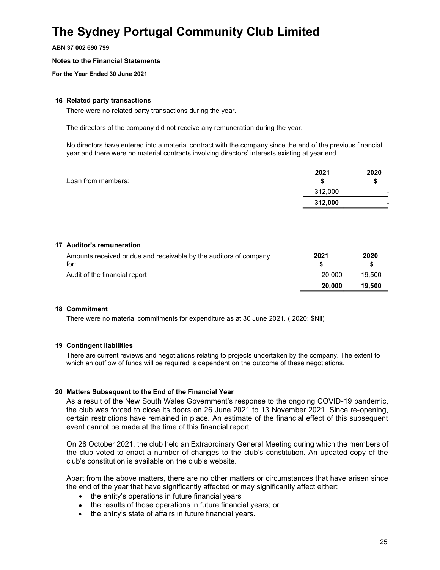ABN 37 002 690 799

#### Notes to the Financial Statements

For the Year Ended 30 June 2021

#### 16 Related party transactions

There were no related party transactions during the year.

The directors of the company did not receive any remuneration during the year.

No directors have entered into a material contract with the company since the end of the previous financial year and there were no material contracts involving directors' interests existing at year end.

|                    | 2021    | 2020           |
|--------------------|---------|----------------|
| Loan from members: |         |                |
|                    | 312,000 | $\blacksquare$ |
|                    | 312,000 |                |
|                    |         |                |

#### 17 Auditor's remuneration

| Amounts received or due and receivable by the auditors of company | 2021   | 2020   |
|-------------------------------------------------------------------|--------|--------|
| for:                                                              |        |        |
| Audit of the financial report                                     | 20,000 | 19.500 |
|                                                                   | 20.000 | 19.500 |

#### 18 Commitment

There were no material commitments for expenditure as at 30 June 2021. ( 2020: \$Nil)

#### 19 Contingent liabilities

There are current reviews and negotiations relating to projects undertaken by the company. The extent to which an outflow of funds will be required is dependent on the outcome of these negotiations.

#### 20 Matters Subsequent to the End of the Financial Year

As a result of the New South Wales Government's response to the ongoing COVID-19 pandemic, the club was forced to close its doors on 26 June 2021 to 13 November 2021. Since re-opening, certain restrictions have remained in place. An estimate of the financial effect of this subsequent event cannot be made at the time of this financial report.

On 28 October 2021, the club held an Extraordinary General Meeting during which the members of the club voted to enact a number of changes to the club's constitution. An updated copy of the club's constitution is available on the club's website.

Apart from the above matters, there are no other matters or circumstances that have arisen since the end of the year that have significantly affected or may significantly affect either:

- $\bullet$  the entity's operations in future financial years
- the results of those operations in future financial years; or
- the entity's state of affairs in future financial years.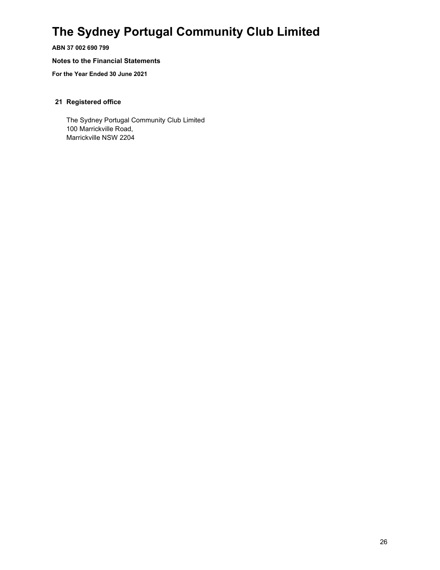ABN 37 002 690 799

#### Notes to the Financial Statements

For the Year Ended 30 June 2021

#### 21 Registered office

The Sydney Portugal Community Club Limited 100 Marrickville Road, Marrickville NSW 2204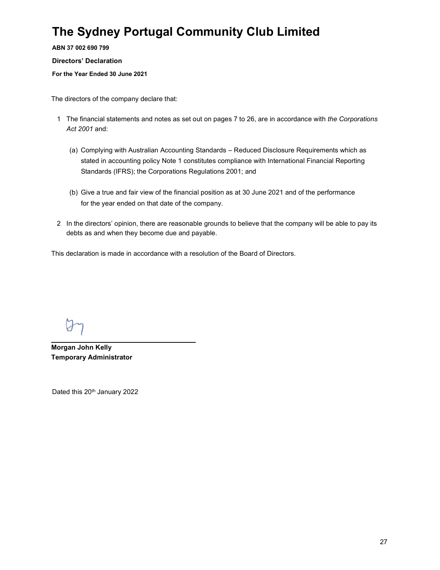ABN 37 002 690 799

#### Directors' Declaration

For the Year Ended 30 June 2021

The directors of the company declare that:

- 1 The financial statements and notes as set out on pages 7 to 26, are in accordance with the Corporations Act 2001 and:
	- (a) Complying with Australian Accounting Standards Reduced Disclosure Requirements which as stated in accounting policy Note 1 constitutes compliance with International Financial Reporting Standards (IFRS); the Corporations Regulations 2001; and
	- (b) Give a true and fair view of the financial position as at 30 June 2021 and of the performance for the year ended on that date of the company.
- 2 In the directors' opinion, there are reasonable grounds to believe that the company will be able to pay its debts as and when they become due and payable.

This declaration is made in accordance with a resolution of the Board of Directors.

Morgan John Kelly Temporary Administrator

Dated this 20<sup>th</sup> January 2022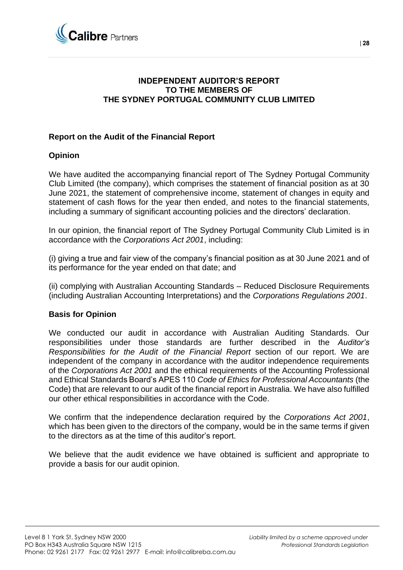

### **INDEPENDENT AUDITOR'S REPORT TO THE MEMBERS OF THE SYDNEY PORTUGAL COMMUNITY CLUB LIMITED**

### **Report on the Audit of the Financial Report**

### **Opinion**

We have audited the accompanying financial report of The Sydney Portugal Community Club Limited (the company), which comprises the statement of financial position as at 30 June 2021, the statement of comprehensive income, statement of changes in equity and statement of cash flows for the year then ended, and notes to the financial statements, including a summary of significant accounting policies and the directors' declaration.

In our opinion, the financial report of The Sydney Portugal Community Club Limited is in accordance with the *Corporations Act 2001*, including:

(i) giving a true and fair view of the company's financial position as at 30 June 2021 and of its performance for the year ended on that date; and

(ii) complying with Australian Accounting Standards – Reduced Disclosure Requirements (including Australian Accounting Interpretations) and the *Corporations Regulations 2001*.

### **Basis for Opinion**

We conducted our audit in accordance with Australian Auditing Standards. Our responsibilities under those standards are further described in the *Auditor's Responsibilities for the Audit of the Financial Report* section of our report. We are independent of the company in accordance with the auditor independence requirements of the *Corporations Act 2001* and the ethical requirements of the Accounting Professional and Ethical Standards Board's APES 110 *Code of Ethics for Professional Accountants* (the Code) that are relevant to our audit of the financial report in Australia. We have also fulfilled our other ethical responsibilities in accordance with the Code.

We confirm that the independence declaration required by the *Corporations Act 2001*, which has been given to the directors of the company, would be in the same terms if given to the directors as at the time of this auditor's report.

We believe that the audit evidence we have obtained is sufficient and appropriate to provide a basis for our audit opinion.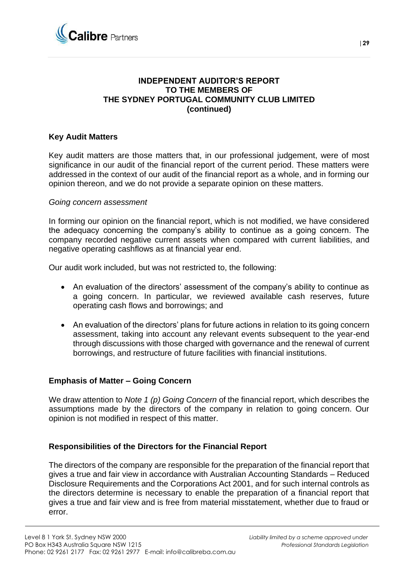

### **INDEPENDENT AUDITOR'S REPORT TO THE MEMBERS OF THE SYDNEY PORTUGAL COMMUNITY CLUB LIMITED (continued)**

### **Key Audit Matters**

Key audit matters are those matters that, in our professional judgement, were of most significance in our audit of the financial report of the current period. These matters were addressed in the context of our audit of the financial report as a whole, and in forming our opinion thereon, and we do not provide a separate opinion on these matters.

### *Going concern assessment*

In forming our opinion on the financial report, which is not modified, we have considered the adequacy concerning the company's ability to continue as a going concern. The company recorded negative current assets when compared with current liabilities, and negative operating cashflows as at financial year end.

Our audit work included, but was not restricted to, the following:

- An evaluation of the directors' assessment of the company's ability to continue as a going concern. In particular, we reviewed available cash reserves, future operating cash flows and borrowings; and
- An evaluation of the directors' plans for future actions in relation to its going concern assessment, taking into account any relevant events subsequent to the year-end through discussions with those charged with governance and the renewal of current borrowings, and restructure of future facilities with financial institutions.

### **Emphasis of Matter – Going Concern**

We draw attention to *Note 1 (p) Going Concern* of the financial report, which describes the assumptions made by the directors of the company in relation to going concern. Our opinion is not modified in respect of this matter.

### **Responsibilities of the Directors for the Financial Report**

The directors of the company are responsible for the preparation of the financial report that gives a true and fair view in accordance with Australian Accounting Standards – Reduced Disclosure Requirements and the Corporations Act 2001, and for such internal controls as the directors determine is necessary to enable the preparation of a financial report that gives a true and fair view and is free from material misstatement, whether due to fraud or error.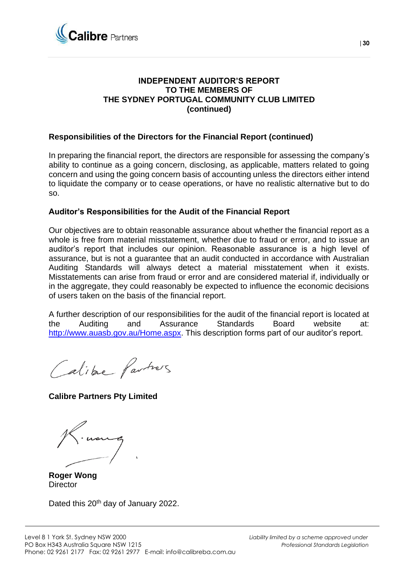

### **INDEPENDENT AUDITOR'S REPORT TO THE MEMBERS OF THE SYDNEY PORTUGAL COMMUNITY CLUB LIMITED (continued)**

### **Responsibilities of the Directors for the Financial Report (continued)**

In preparing the financial report, the directors are responsible for assessing the company's ability to continue as a going concern, disclosing, as applicable, matters related to going concern and using the going concern basis of accounting unless the directors either intend to liquidate the company or to cease operations, or have no realistic alternative but to do so.

### **Auditor's Responsibilities for the Audit of the Financial Report**

Our objectives are to obtain reasonable assurance about whether the financial report as a whole is free from material misstatement, whether due to fraud or error, and to issue an auditor's report that includes our opinion. Reasonable assurance is a high level of assurance, but is not a guarantee that an audit conducted in accordance with Australian Auditing Standards will always detect a material misstatement when it exists. Misstatements can arise from fraud or error and are considered material if, individually or in the aggregate, they could reasonably be expected to influence the economic decisions of users taken on the basis of the financial report.

A further description of our responsibilities for the audit of the financial report is located at the Auditing and Assurance Standards Board website at: [http://www.auasb.gov.au/Home.aspx.](http://www.auasb.gov.au/Home.aspx) This description forms part of our auditor's report.

Calibre Partners

**Calibre Partners Pty Limited**

**Roger Wong Director** 

Dated this 20<sup>th</sup> day of January 2022.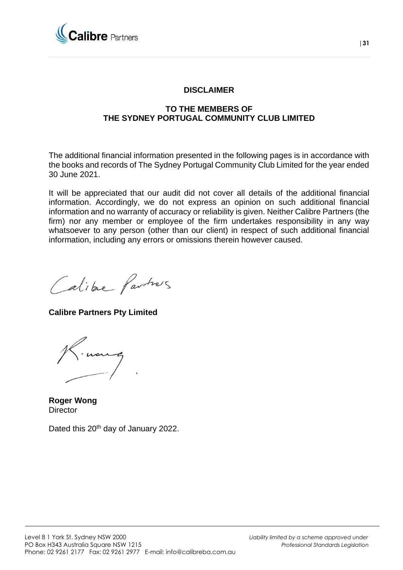

### **DISCLAIMER**

### **TO THE MEMBERS OF THE SYDNEY PORTUGAL COMMUNITY CLUB LIMITED**

The additional financial information presented in the following pages is in accordance with the books and records of The Sydney Portugal Community Club Limited for the year ended 30 June 2021.

It will be appreciated that our audit did not cover all details of the additional financial information. Accordingly, we do not express an opinion on such additional financial information and no warranty of accuracy or reliability is given. Neither Calibre Partners (the firm) nor any member or employee of the firm undertakes responsibility in any way whatsoever to any person (other than our client) in respect of such additional financial information, including any errors or omissions therein however caused.

Calibre Partners

**Calibre Partners Pty Limited**



**Roger Wong Director** 

Dated this 20<sup>th</sup> day of January 2022.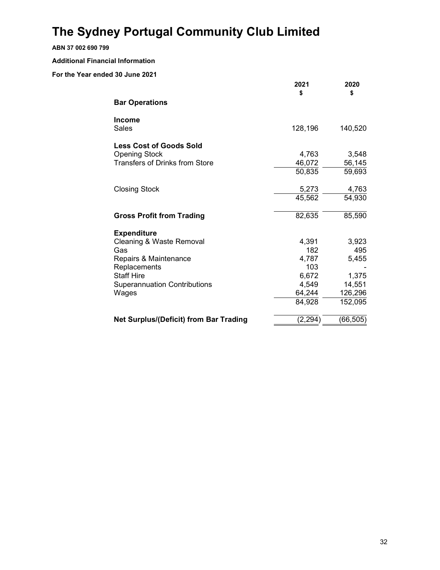#### ABN 37 002 690 799

#### Additional Financial Information

|                                        | 2021<br>\$ | 2020<br>\$ |
|----------------------------------------|------------|------------|
| <b>Bar Operations</b>                  |            |            |
| Income                                 |            |            |
| Sales                                  | 128,196    | 140,520    |
| <b>Less Cost of Goods Sold</b>         |            |            |
| <b>Opening Stock</b>                   | 4,763      | 3,548      |
| <b>Transfers of Drinks from Store</b>  | 46,072     | 56,145     |
|                                        | 50,835     | 59,693     |
| <b>Closing Stock</b>                   | 5,273      | 4,763      |
|                                        | 45,562     | 54,930     |
| <b>Gross Profit from Trading</b>       | 82,635     | 85,590     |
| <b>Expenditure</b>                     |            |            |
| Cleaning & Waste Removal               | 4,391      | 3,923      |
| Gas                                    | 182        | 495        |
| Repairs & Maintenance                  | 4,787      | 5,455      |
| Replacements                           | 103        |            |
| <b>Staff Hire</b>                      | 6,672      | 1,375      |
| <b>Superannuation Contributions</b>    | 4,549      | 14,551     |
| Wages                                  | 64,244     | 126,296    |
|                                        | 84,928     | 152,095    |
| Net Surplus/(Deficit) from Bar Trading | (2, 294)   | (66, 505)  |
|                                        |            |            |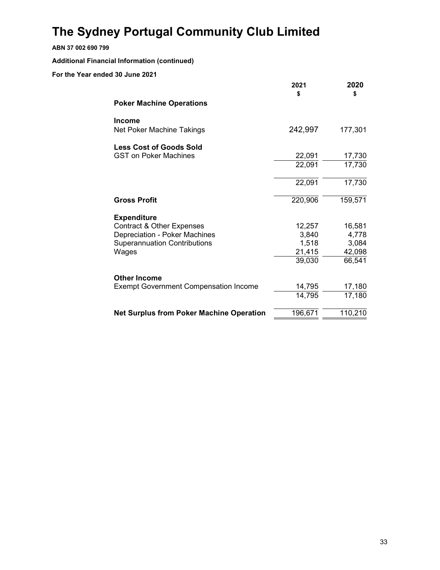### ABN 37 002 690 799

### Additional Financial Information (continued)

|                                                 | 2021<br>\$ | 2020<br>\$ |
|-------------------------------------------------|------------|------------|
| <b>Poker Machine Operations</b>                 |            |            |
| <b>Income</b><br>Net Poker Machine Takings      | 242,997    | 177,301    |
| <b>Less Cost of Goods Sold</b>                  |            |            |
| <b>GST on Poker Machines</b>                    | 22,091     | 17,730     |
|                                                 | 22,091     | 17,730     |
|                                                 | 22,091     | 17,730     |
| <b>Gross Profit</b>                             | 220,906    | 159,571    |
| <b>Expenditure</b>                              |            |            |
| <b>Contract &amp; Other Expenses</b>            | 12,257     | 16,581     |
| Depreciation - Poker Machines                   | 3,840      | 4,778      |
| <b>Superannuation Contributions</b>             | 1,518      | 3,084      |
| Wages                                           | 21,415     | 42,098     |
|                                                 | 39,030     | 66,541     |
| <b>Other Income</b>                             |            |            |
| <b>Exempt Government Compensation Income</b>    | 14,795     | 17,180     |
|                                                 | 14,795     | 17,180     |
| <b>Net Surplus from Poker Machine Operation</b> | 196,671    | 110,210    |
|                                                 |            |            |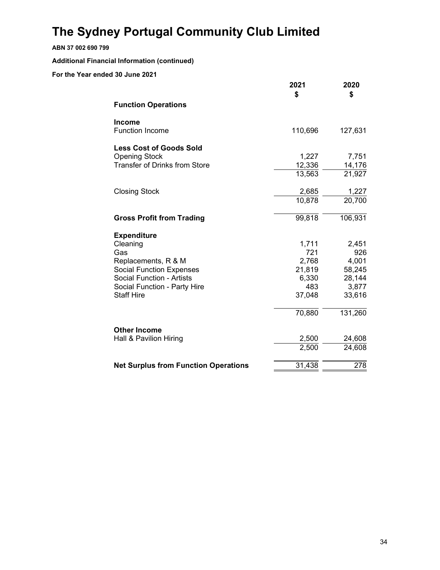#### ABN 37 002 690 799

Additional Financial Information (continued)

|                                             | 2021<br>\$ | 2020<br>\$ |
|---------------------------------------------|------------|------------|
| <b>Function Operations</b>                  |            |            |
| <b>Income</b>                               |            |            |
| <b>Function Income</b>                      | 110,696    | 127,631    |
| <b>Less Cost of Goods Sold</b>              |            |            |
| <b>Opening Stock</b>                        | 1,227      | 7,751      |
| <b>Transfer of Drinks from Store</b>        | 12,336     | 14,176     |
|                                             | 13,563     | 21,927     |
| <b>Closing Stock</b>                        | 2,685      | 1,227      |
|                                             | 10,878     | 20,700     |
| <b>Gross Profit from Trading</b>            | 99,818     | 106,931    |
| <b>Expenditure</b>                          |            |            |
| Cleaning                                    | 1,711      | 2,451      |
| Gas                                         | 721        | 926        |
| Replacements, R & M                         | 2,768      | 4,001      |
| <b>Social Function Expenses</b>             | 21,819     | 58,245     |
| <b>Social Function - Artists</b>            | 6,330      | 28,144     |
| Social Function - Party Hire                | 483        | 3,877      |
| <b>Staff Hire</b>                           | 37,048     | 33,616     |
|                                             | 70,880     | 131,260    |
| <b>Other Income</b>                         |            |            |
| Hall & Pavilion Hiring                      | 2,500      | 24,608     |
|                                             | 2,500      | 24,608     |
| <b>Net Surplus from Function Operations</b> | 31,438     | 278        |
|                                             |            |            |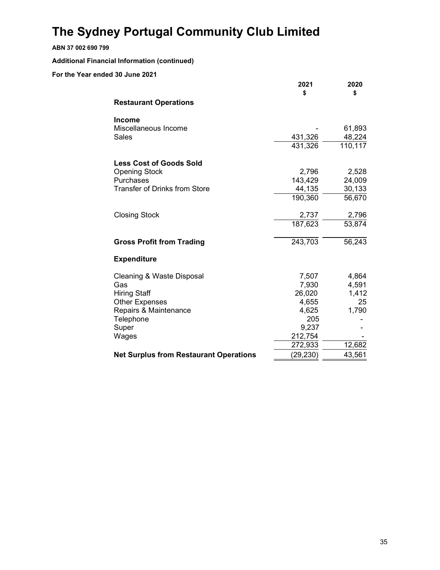#### ABN 37 002 690 799

Additional Financial Information (continued)

|                                               | 2021<br>\$ | 2020<br>\$ |
|-----------------------------------------------|------------|------------|
| <b>Restaurant Operations</b>                  |            |            |
| <b>Income</b>                                 |            |            |
| Miscellaneous Income                          |            | 61,893     |
| Sales                                         | 431,326    | 48,224     |
|                                               | 431,326    | 110,117    |
| <b>Less Cost of Goods Sold</b>                |            |            |
| <b>Opening Stock</b>                          | 2,796      | 2,528      |
| Purchases                                     | 143,429    | 24,009     |
| <b>Transfer of Drinks from Store</b>          | 44,135     | 30,133     |
|                                               | 190,360    | 56,670     |
| <b>Closing Stock</b>                          | 2,737      | 2,796      |
|                                               | 187,623    | 53,874     |
| <b>Gross Profit from Trading</b>              | 243,703    | 56,243     |
| <b>Expenditure</b>                            |            |            |
| Cleaning & Waste Disposal                     | 7,507      | 4,864      |
| Gas                                           | 7,930      | 4,591      |
| <b>Hiring Staff</b>                           | 26,020     | 1,412      |
| <b>Other Expenses</b>                         | 4,655      | 25         |
| Repairs & Maintenance                         | 4,625      | 1,790      |
| Telephone                                     | 205        |            |
| Super                                         | 9,237      |            |
| Wages                                         | 212,754    |            |
|                                               | 272,933    | 12,682     |
| <b>Net Surplus from Restaurant Operations</b> | (29, 230)  | 43,561     |
|                                               |            |            |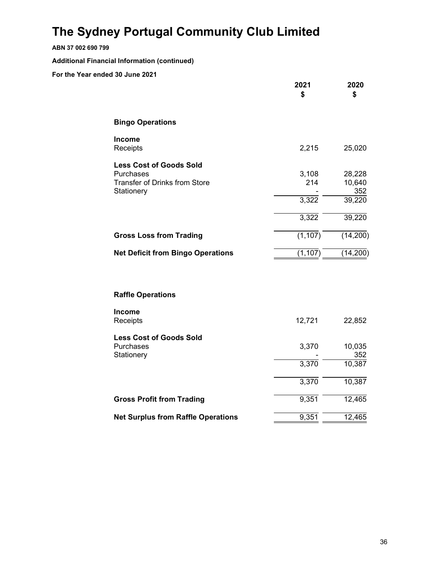#### ABN 37 002 690 799

Additional Financial Information (continued)

|                                                                                                   | 2021<br>\$                     | 2020<br>\$                                  |
|---------------------------------------------------------------------------------------------------|--------------------------------|---------------------------------------------|
| <b>Bingo Operations</b>                                                                           |                                |                                             |
| Income<br>Receipts                                                                                | 2,215                          | 25,020                                      |
| <b>Less Cost of Goods Sold</b><br>Purchases<br><b>Transfer of Drinks from Store</b><br>Stationery | 3,108<br>214<br>3,322<br>3,322 | 28,228<br>10,640<br>352<br>39,220<br>39,220 |
| <b>Gross Loss from Trading</b>                                                                    | (1, 107)                       | (14,200)                                    |
| <b>Net Deficit from Bingo Operations</b>                                                          | (1, 107)                       | (14, 200)                                   |
|                                                                                                   |                                |                                             |
| <b>Raffle Operations</b>                                                                          |                                |                                             |
| Income<br>Receipts                                                                                | 12,721                         | 22,852                                      |
| <b>Less Cost of Goods Sold</b><br>Purchases<br>Stationery                                         | 3,370<br>3,370<br>3,370        | 10,035<br>352<br>10,387<br>10,387           |
| <b>Gross Profit from Trading</b>                                                                  | 9,351                          | 12,465                                      |
| <b>Net Surplus from Raffle Operations</b>                                                         | 9,351                          | 12,465                                      |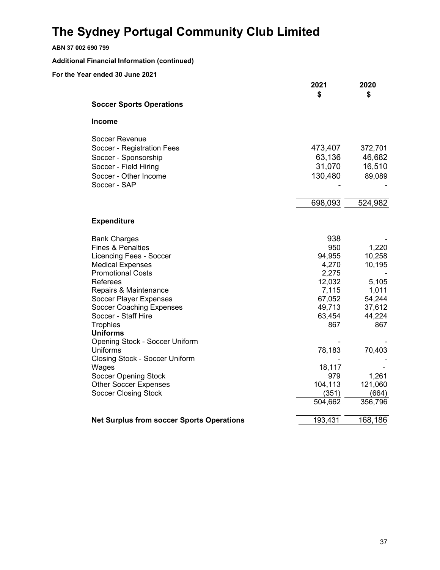| ABN 37 002 690 799                                  |         |         |
|-----------------------------------------------------|---------|---------|
| <b>Additional Financial Information (continued)</b> |         |         |
| For the Year ended 30 June 2021                     |         |         |
|                                                     | 2021    | 2020    |
|                                                     | \$      | \$      |
| <b>Soccer Sports Operations</b>                     |         |         |
| Income                                              |         |         |
| Soccer Revenue                                      |         |         |
| Soccer - Registration Fees                          | 473,407 | 372,701 |
| Soccer - Sponsorship                                | 63,136  | 46,682  |
| Soccer - Field Hiring                               | 31,070  | 16,510  |
| Soccer - Other Income                               | 130,480 | 89,089  |
| Soccer - SAP                                        |         |         |
|                                                     | 698,093 | 524,982 |
|                                                     |         |         |
| <b>Expenditure</b>                                  |         |         |
| <b>Bank Charges</b>                                 | 938     |         |
| <b>Fines &amp; Penalties</b>                        | 950     | 1,220   |
| <b>Licencing Fees - Soccer</b>                      | 94,955  | 10,258  |
| <b>Medical Expenses</b>                             | 4,270   | 10,195  |
| <b>Promotional Costs</b>                            | 2,275   |         |
| Referees                                            | 12,032  | 5,105   |
| Repairs & Maintenance                               | 7,115   | 1,011   |
| Soccer Player Expenses                              | 67,052  | 54,244  |
| <b>Soccer Coaching Expenses</b>                     | 49,713  | 37,612  |
| Soccer - Staff Hire                                 | 63,454  | 44,224  |
| <b>Trophies</b>                                     | 867     | 867     |
| <b>Uniforms</b>                                     |         |         |
| <b>Opening Stock - Soccer Uniform</b>               |         |         |
| <b>Uniforms</b>                                     | 78,183  | 70,403  |
| <b>Closing Stock - Soccer Uniform</b>               |         |         |
| Wages                                               | 18,117  |         |
| <b>Soccer Opening Stock</b>                         | 979     | 1,261   |
| <b>Other Soccer Expenses</b>                        | 104,113 | 121,060 |
| <b>Soccer Closing Stock</b>                         | (351)   | (664)   |
|                                                     | 504,662 | 356,796 |
| <b>Net Surplus from soccer Sports Operations</b>    | 193,431 | 168,186 |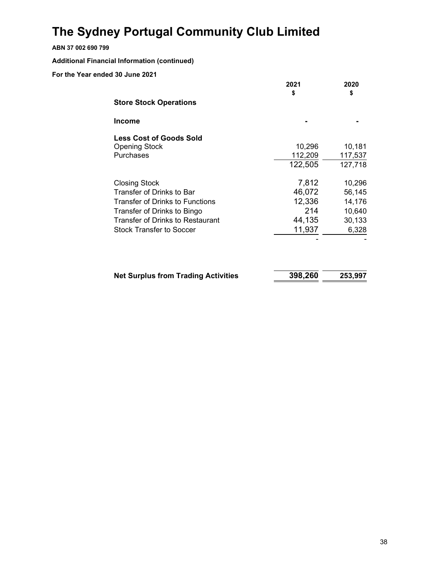### ABN 37 002 690 799

Additional Financial Information (continued)

|                      |                                            | 2021    | 2020    |
|----------------------|--------------------------------------------|---------|---------|
|                      | <b>Store Stock Operations</b>              | \$      | \$      |
| <b>Income</b>        |                                            |         |         |
|                      | <b>Less Cost of Goods Sold</b>             |         |         |
| <b>Opening Stock</b> |                                            | 10,296  | 10,181  |
| Purchases            |                                            | 112,209 | 117,537 |
|                      |                                            | 122,505 | 127,718 |
| <b>Closing Stock</b> |                                            | 7,812   | 10,296  |
|                      | Transfer of Drinks to Bar                  | 46,072  | 56,145  |
|                      | <b>Transfer of Drinks to Functions</b>     | 12,336  | 14,176  |
|                      | Transfer of Drinks to Bingo                | 214     | 10,640  |
|                      | Transfer of Drinks to Restaurant           | 44,135  | 30,133  |
|                      | <b>Stock Transfer to Soccer</b>            | 11,937  | 6,328   |
|                      |                                            |         |         |
|                      | <b>Net Surplus from Trading Activities</b> | 398,260 | 253,997 |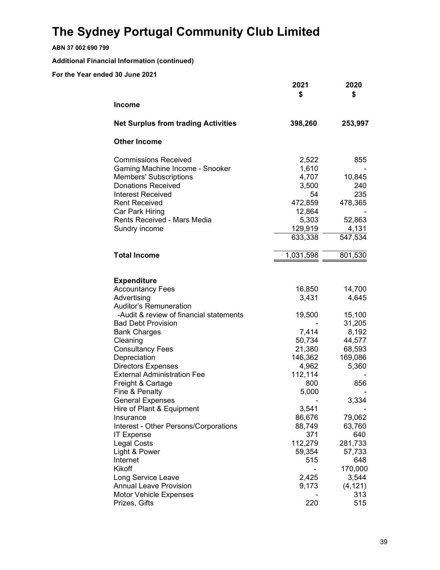ABN 37 002 690 799

Additional Financial Information (continued)

|                                            | 2021<br>\$ | 2020<br>\$      |
|--------------------------------------------|------------|-----------------|
| <b>Income</b>                              |            |                 |
| <b>Net Surplus from trading Activities</b> | 398,260    | 253,997         |
| <b>Other Income</b>                        |            |                 |
| <b>Commissions Received</b>                | 2,522      | 855             |
| Gaming Machine Income - Snooker            | 1,610      |                 |
| <b>Members' Subscriptions</b>              | 4,707      | 10,845          |
| <b>Donations Received</b>                  | 3,500      | 240             |
| <b>Interest Received</b>                   | 54         | 235             |
| <b>Rent Received</b>                       | 472,859    | 478,365         |
| Car Park Hiring                            | 12,864     |                 |
| <b>Rents Received - Mars Media</b>         | 5,303      | 52,863          |
| Sundry income                              | 129,919    | 4,131           |
|                                            | 633,338    | 547,534         |
| <b>Total Income</b>                        | 1,031,598  | 801,530         |
|                                            |            |                 |
| <b>Expenditure</b>                         |            |                 |
| <b>Accountancy Fees</b>                    | 16,850     | 14,700          |
| Advertising                                | 3,431      | 4,645           |
| <b>Auditor's Remuneration</b>              |            |                 |
| -Audit & review of financial statements    | 19,500     | 15,100          |
| <b>Bad Debt Provision</b>                  |            | 31,205          |
| <b>Bank Charges</b>                        | 7,414      | 8,192           |
| Cleaning                                   | 50,734     | 44,577          |
| <b>Consultancy Fees</b>                    | 21,380     | 68,593          |
| Depreciation                               | 146,362    | 169,086         |
| <b>Directors Expenses</b>                  | 4,962      | 5,360           |
| <b>External Administration Fee</b>         | 112,114    |                 |
| Freight & Cartage                          | 800        | 856             |
| Fine & Penalty                             | 5,000      |                 |
| <b>General Expenses</b>                    |            | 3,334           |
| Hire of Plant & Equipment                  | 3,541      |                 |
| Insurance                                  | 86,676     | 79,062          |
| Interest - Other Persons/Corporations      | 88,749     | 63,760          |
| <b>IT Expense</b>                          | 371        | 640             |
| <b>Legal Costs</b>                         | 112,279    | 281,733         |
| Light & Power                              | 59,354     | 57,733          |
| Internet                                   | 515        | 648             |
| Kikoff                                     |            | 170,000         |
| Long Service Leave                         | 2,425      | 3,544           |
| <b>Annual Leave Provision</b>              | 9,173      | (4, 121)<br>313 |
| Motor Vehicle Expenses<br>Prizes, Gifts    | 220        | 515             |
|                                            |            |                 |